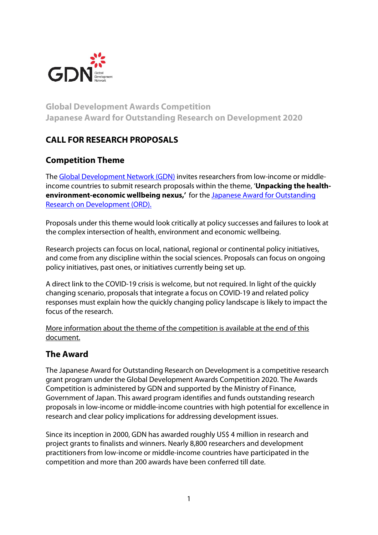

**Global Development Awards Competition Japanese Award for Outstanding Research on Development 2020**

# **CALL FOR RESEARCH PROPOSALS**

## **Competition Theme**

The [Global Development Network \(GDN\)](http://www.gdn.int/) invites researchers from low-income or middleincome countries to submit research proposals within the theme, '**Unpacking the healthenvironment-economic wellbeing nexus,'** for the [Japanese Award for Outstanding](http://www.gdn.int/global-development-awards-competition)  [Research on Development \(ORD\).](http://www.gdn.int/global-development-awards-competition)

Proposals under this theme would look critically at policy successes and failures to look at the complex intersection of health, environment and economic wellbeing.

Research projects can focus on local, national, regional or continental policy initiatives, and come from any discipline within the social sciences. Proposals can focus on ongoing policy initiatives, past ones, or initiatives currently being set up.

A direct link to the COVID-19 crisis is welcome, but not required. In light of the quickly changing scenario, proposals that integrate a focus on COVID-19 and related policy responses must explain how the quickly changing policy landscape is likely to impact the focus of the research.

More information about the theme of the competition is available at the end of this document.

### **The Award**

The Japanese Award for Outstanding Research on Development is a competitive research grant program under the Global Development Awards Competition 2020. The Awards Competition is administered by GDN and supported by the Ministry of Finance, Government of Japan. This award program identifies and funds outstanding research proposals in low-income or middle-income countries with high potential for excellence in research and clear policy implications for addressing development issues.

Since its inception in 2000, GDN has awarded roughly US\$ 4 million in research and project grants to finalists and winners. Nearly 8,800 researchers and development practitioners from low-income or middle-income countries have participated in the competition and more than 200 awards have been conferred till date.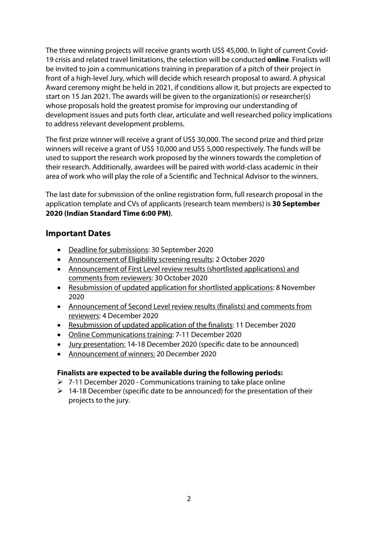The three winning projects will receive grants worth US\$ 45,000. In light of current Covid-19 crisis and related travel limitations, the selection will be conducted **online**. Finalists will be invited to join a communications training in preparation of a pitch of their project in front of a high-level Jury, which will decide which research proposal to award. A physical Award ceremony might be held in 2021, if conditions allow it, but projects are expected to start on 15 Jan 2021. The awards will be given to the organization(s) or researcher(s) whose proposals hold the greatest promise for improving our understanding of development issues and puts forth clear, articulate and well researched policy implications to address relevant development problems.

The first prize winner will receive a grant of US\$ 30,000. The second prize and third prize winners will receive a grant of US\$ 10,000 and US\$ 5,000 respectively. The funds will be used to support the research work proposed by the winners towards the completion of their research. Additionally, awardees will be paired with world-class academic in their area of work who will play the role of a Scientific and Technical Advisor to the winners.

The last date for submission of the online registration form, full research proposal in the application template and CVs of applicants (research team members) is **30 September 2020 (Indian Standard Time 6:00 PM)**.

### **Important Dates**

- Deadline for submissions: 30 September 2020
- Announcement of Eligibility screening results: 2 October 2020
- Announcement of First Level review results (shortlisted applications) and comments from reviewers: 30 October 2020
- Resubmission of updated application for shortlisted applications: 8 November 2020
- Announcement of Second Level review results (finalists) and comments from reviewers: 4 December 2020
- Resubmission of updated application of the finalists: 11 December 2020
- Online Communications training: 7-11 December 2020
- Jury presentation: 14-18 December 2020 (specific date to be announced)
- Announcement of winners: 20 December 2020

### **Finalists are expected to be available during the following periods:**

- $\triangleright$  7-11 December 2020 Communications training to take place online
- $\geq 14-18$  December (specific date to be announced) for the presentation of their projects to the jury.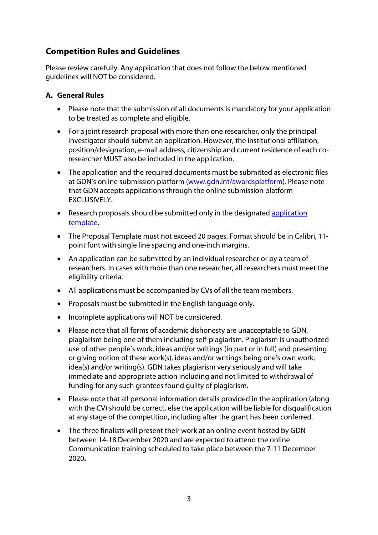# **Competition Rules and Guidelines**

Please review carefully. Any application that does not follow the below mentioned guidelines will NOT be considered.

#### **A. General Rules**

- Please note that the submission of all documents is mandatory for your application to be treated as complete and eligible.
- For a joint research proposal with more than one researcher, only the principal investigator should submit an application. However, the institutional affiliation, position/designation, e-mail address, citizenship and current residence of each coresearcher MUST also be included in the application.
- The application and the required documents must be submitted as electronic files at GDN's online submission platform [\(www.gdn.int/awardsplatform\)](http://www.gdn.int/awardsplatform). Please note that GDN accepts applications through the online submission platform EXCLUSIVELY.
- Research proposals should be submitted only in the designated application [template](http://www.gdn.int/sites/default/files/u115/ApplicationTemplate.docx)**.**
- The Proposal Template must not exceed 20 pages. Format should be in Calibri, 11 point font with single line spacing and one-inch margins.
- An application can be submitted by an individual researcher or by a team of researchers. In cases with more than one researcher, all researchers must meet the eligibility criteria.
- All applications must be accompanied by CVs of all the team members.
- Proposals must be submitted in the English language only.
- Incomplete applications will NOT be considered.
- Please note that all forms of academic dishonesty are unacceptable to GDN, plagiarism being one of them including self-plagiarism. Plagiarism is unauthorized use of other people's work, ideas and/or writings (in part or in full) and presenting or giving notion of these work(s), ideas and/or writings being one's own work, idea(s) and/or writing(s). GDN takes plagiarism very seriously and will take immediate and appropriate action including and not limited to withdrawal of funding for any such grantees found guilty of plagiarism.
- Please note that all personal information details provided in the application (along with the CV) should be correct, else the application will be liable for disqualification at any stage of the competition, including after the grant has been conferred.
- The three finalists will present their work at an online event hosted by GDN between 14-18 December 2020 and are expected to attend the online Communication training scheduled to take place between the 7-11 December 2020**.**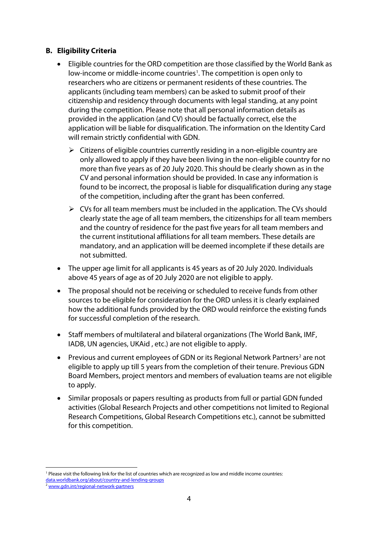#### **B. Eligibility Criteria**

- Eligible countries for the ORD competition are those classified by the World Bank as low-income or middle-income countries<sup>[1](#page-3-0)</sup>. The competition is open only to researchers who are citizens or permanent residents of these countries. The applicants (including team members) can be asked to submit proof of their citizenship and residency through documents with legal standing, at any point during the competition. Please note that all personal information details as provided in the application (and CV) should be factually correct, else the application will be liable for disqualification. The information on the Identity Card will remain strictly confidential with GDN.
	- $\triangleright$  Citizens of eligible countries currently residing in a non-eligible country are only allowed to apply if they have been living in the non-eligible country for no more than five years as of 20 July 2020. This should be clearly shown as in the CV and personal information should be provided. In case any information is found to be incorrect, the proposal is liable for disqualification during any stage of the competition, including after the grant has been conferred.
	- $\triangleright$  CVs for all team members must be included in the application. The CVs should clearly state the age of all team members, the citizenships for all team members and the country of residence for the past five years for all team members and the current institutional affiliations for all team members. These details are mandatory, and an application will be deemed incomplete if these details are not submitted.
- The upper age limit for all applicants is 45 years as of 20 July 2020. Individuals above 45 years of age as of 20 July 2020 are not eligible to apply.
- The proposal should not be receiving or scheduled to receive funds from other sources to be eligible for consideration for the ORD unless it is clearly explained how the additional funds provided by the ORD would reinforce the existing funds for successful completion of the research.
- Staff members of multilateral and bilateral organizations (The World Bank, IMF, IADB, UN agencies, UKAid , etc.) are not eligible to apply.
- Previous and current employees of GDN or its Regional Network Partners<sup>[2](#page-3-1)</sup> are not eligible to apply up till 5 years from the completion of their tenure. Previous GDN Board Members, project mentors and members of evaluation teams are not eligible to apply.
- Similar proposals or papers resulting as products from full or partial GDN funded activities (Global Research Projects and other competitions not limited to Regional Research Competitions, Global Research Competitions etc.), cannot be submitted for this competition.

<span id="page-3-1"></span><span id="page-3-0"></span><sup>&</sup>lt;sup>1</sup> Please visit the following link for the list of countries which are recognized as low and middle income countries: [data.worldbank.org/about/country-and-lending-groups](http://data.worldbank.org/about/country-and-lending-groups) <sup>2</sup> [www.gdn.int/regional-network-partners](http://www.gdn.int/regional-network-partners)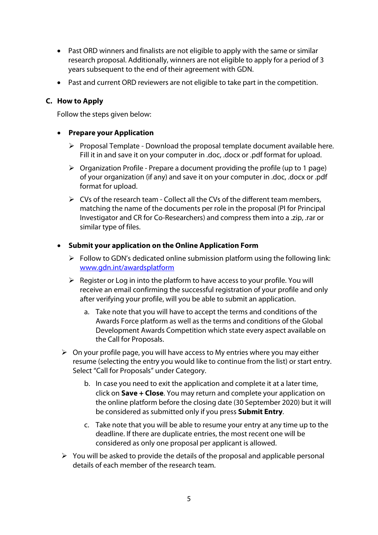- Past ORD winners and finalists are not eligible to apply with the same or similar research proposal. Additionally, winners are not eligible to apply for a period of 3 years subsequent to the end of their agreement with GDN.
- Past and current ORD reviewers are not eligible to take part in the competition.

#### **C. How to Apply**

Follow the steps given below:

#### • **Prepare your Application**

- $\triangleright$  Proposal Template Download the proposal template document available [here.](https://drive.google.com/file/d/1ej9FwUhsrN8zOhoT_mUYn_uv6Dv36Cjh/view?usp=sharing) Fill it in and save it on your computer in .doc, .docx or .pdf format for upload.
- $\triangleright$  Organization Profile Prepare a document providing the profile (up to 1 page) of your organization (if any) and save it on your computer in .doc, .docx or .pdf format for upload.
- $\triangleright$  CVs of the research team Collect all the CVs of the different team members, matching the name of the documents per role in the proposal (PI for Principal Investigator and CR for Co-Researchers) and compress them into a .zip, .rar or similar type of files.

#### • **Submit your application on the Online Application Form**

- $\triangleright$  Follow to GDN's dedicated online submission platform using the following link: [www.gdn.int/awardsplatform](http://www.gdn.int/awardsplatform)
- $\triangleright$  Register or Log in into the platform to have access to your profile. You will receive an email confirming the successful registration of your profile and only after verifying your profile, will you be able to submit an application.
	- a. Take note that you will have to accept the terms and conditions of the Awards Force platform as well as the terms and conditions of the Global Development Awards Competition which state every aspect available on the Call for Proposals.
- $\triangleright$  On your profile page, you will have access to My entries where you may either resume (selecting the entry you would like to continue from the list) or start entry. Select "Call for Proposals" under Category.
	- b. In case you need to exit the application and complete it at a later time, click on **Save + Close**. You may return and complete your application on the online platform before the closing date (30 September 2020) but it will be considered as submitted only if you press **Submit Entry**.
	- c. Take note that you will be able to resume your entry at any time up to the deadline. If there are duplicate entries, the most recent one will be considered as only one proposal per applicant is allowed.
- $\triangleright$  You will be asked to provide the details of the proposal and applicable personal details of each member of the research team.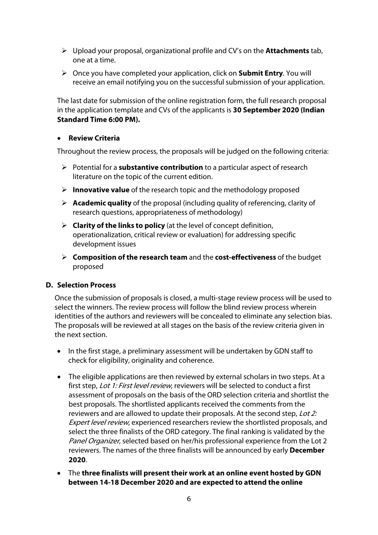- Upload your proposal, organizational profile and CV's on the **Attachments** tab, one at a time.
- Once you have completed your application, click on **Submit Entry**. You will receive an email notifying you on the successful submission of your application.

The last date for submission of the online registration form, the full research proposal in the application template and CVs of the applicants is **30 September 2020 (Indian Standard Time 6:00 PM).** 

#### • **Review Criteria**

Throughout the review process, the proposals will be judged on the following criteria:

- Potential for a **substantive contribution** to a particular aspect of research literature on the topic of the current edition.
- **Innovative value** of the research topic and the methodology proposed
- **Academic quality** of the proposal (including quality of referencing, clarity of research questions, appropriateness of methodology)
- **Clarity of the links to policy** (at the level of concept definition, operationalization, critical review or evaluation) for addressing specific development issues
- **Composition of the research team** and the **cost-effectiveness** of the budget proposed

#### **D. Selection Process**

Once the submission of proposals is closed, a multi-stage review process will be used to select the winners. The review process will follow the blind review process wherein identities of the authors and reviewers will be concealed to eliminate any selection bias. The proposals will be reviewed at all stages on the basis of the review criteria given in the next section.

- In the first stage, a preliminary assessment will be undertaken by GDN staff to check for eligibility, originality and coherence.
- The eligible applications are then reviewed by external scholars in two steps. At a first step, Lot 1: First level review, reviewers will be selected to conduct a first assessment of proposals on the basis of the ORD selection criteria and shortlist the best proposals. The shortlisted applicants received the comments from the reviewers and are allowed to update their proposals. At the second step, Lot 2: Expert level review, experienced researchers review the shortlisted proposals, and select the three finalists of the ORD category. The final ranking is validated by the Panel Organizer, selected based on her/his professional experience from the Lot 2 reviewers. The names of the three finalists will be announced by early **December 2020**.
- The **three finalists will present their work at an online event hosted by GDN between 14-18 December 2020 and are expected to attend the online**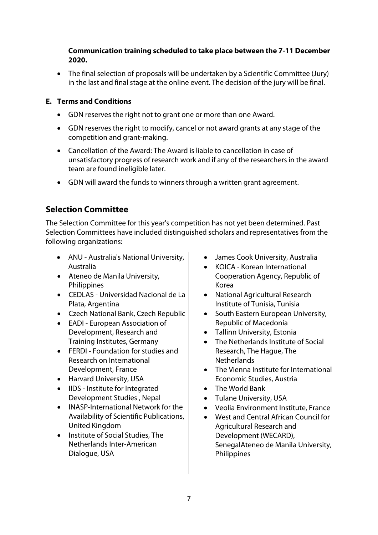### **Communication training scheduled to take place between the 7-11 December 2020.**

• The final selection of proposals will be undertaken by a Scientific Committee (Jury) in the last and final stage at the online event. The decision of the jury will be final.

#### **E. Terms and Conditions**

- GDN reserves the right not to grant one or more than one Award.
- GDN reserves the right to modify, cancel or not award grants at any stage of the competition and grant-making.
- Cancellation of the Award: The Award is liable to cancellation in case of unsatisfactory progress of research work and if any of the researchers in the award team are found ineligible later.
- GDN will award the funds to winners through a written grant agreement.

# **Selection Committee**

The Selection Committee for this year's competition has not yet been determined. Past Selection Committees have included distinguished scholars and representatives from the following organizations:

- ANU Australia's National University, Australia
- Ateneo de Manila University, **Philippines**
- CEDLAS Universidad Nacional de La Plata, Argentina
- Czech National Bank, Czech Republic
- EADI European Association of Development, Research and Training Institutes, Germany
- FERDI Foundation for studies and Research on International Development, France
- Harvard University, USA
- IIDS Institute for Integrated Development Studies , Nepal
- INASP-International Network for the Availability of Scientific Publications, United Kingdom
- Institute of Social Studies, The Netherlands Inter-American Dialogue, USA
- James Cook University, Australia
- KOICA Korean International Cooperation Agency, Republic of Korea
- National Agricultural Research Institute of Tunisia, Tunisia
- South Eastern European University, Republic of Macedonia
- Tallinn University, Estonia
- The Netherlands Institute of Social Research, The Hague, The **Netherlands**
- The Vienna Institute for International Economic Studies, Austria
- The World Bank
- Tulane University, USA
- Veolia Environment Institute, France
- West and Central African Council for Agricultural Research and Development (WECARD), SenegalAteneo de Manila University, Philippines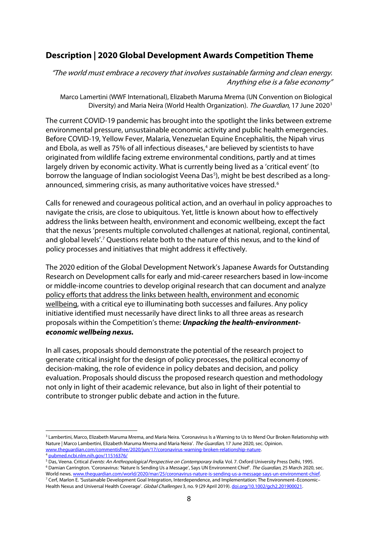## **Description | 2020 Global Development Awards Competition Theme**

"The world must embrace a recovery that involves sustainable farming and clean energy. Anything else is a false economy"

Marco Lamertini (WWF International), Elizabeth Maruma Mrema (UN Convention on Biological Diversity) and Maria Neira (World Health Organization). The Guardian, 17 June 2020<sup>[3](#page-7-0)</sup>

The current COVID-19 pandemic has brought into the spotlight the links between extreme environmental pressure, unsustainable economic activity and public health emergencies. Before COVID-19, Yellow Fever, Malaria, Venezuelan Equine Encephalitis, the Nipah virus and Ebola, as well as 75% of all infectious diseases, $4$  are believed by scientists to have originated from wildlife facing extreme environmental conditions, partly and at times largely driven by economic activity. What is currently being lived as a 'critical event' (to borrow the language of Indian sociologist Veena Das<sup>[5](#page-7-2)</sup>), might be best described as a long-announced, simmering crisis, as many authoritative voices have stressed.<sup>[6](#page-7-3)</sup>

Calls for renewed and courageous political action, and an overhaul in policy approaches to navigate the crisis, are close to ubiquitous. Yet, little is known about how to effectively address the links between health, environment and economic wellbeing, except the fact that the nexus 'presents multiple convoluted challenges at national, regional, continental, and global levels'.[7](#page-7-4) Questions relate both to the nature of this nexus, and to the kind of policy processes and initiatives that might address it effectively.

The 2020 edition of the Global Development Network's Japanese Awards for Outstanding Research on Development calls for early and mid-career researchers based in low-income or middle-income countries to develop original research that can document and analyze policy efforts that address the links between health, environment and economic wellbeing, with a critical eye to illuminating both successes and failures. Any policy initiative identified must necessarily have direct links to all three areas as research proposals within the Competition's theme: *Unpacking the health-environmenteconomic wellbeing nexus.*

In all cases, proposals should demonstrate the potential of the research project to generate critical insight for the design of policy processes, the political economy of decision-making, the role of evidence in policy debates and decision, and policy evaluation. Proposals should discuss the proposed research question and methodology not only in light of their academic relevance, but also in light of their potential to contribute to stronger public debate and action in the future.

<span id="page-7-0"></span><sup>&</sup>lt;sup>3</sup> Lambertini, Marco, Elizabeth Maruma Mrema, and Maria Neira. 'Coronavirus Is a Warning to Us to Mend Our Broken Relationship with Nature | Marco Lambertini, Elizabeth Maruma Mrema and Maria Neira'. The Guardian, 17 June 2020, sec. Opinion. [www.theguardian.com/commentisfree/2020/jun/17/coronavirus-warning-broken-relationship-nature.](http://www.theguardian.com/commentisfree/2020/jun/17/coronavirus-warning-broken-relationship-nature) <sup>4</sup> pubmed.ncbi.nlm.nih.gov/11516376/

<span id="page-7-3"></span><span id="page-7-2"></span><span id="page-7-1"></span><sup>&</sup>lt;sup>5</sup> Das, Veena. Critical Events: An Anthropological Perspective on Contemporary India. Vol. 7. Oxford University Press Delhi, 1995. <sup>6</sup> Damian Carrington. 'Coronavirus: 'Nature Is Sending Us a Message', Says UN Environment Chief'. The Guardian, 25 March 2020, sec. World news. www.theguardian.com/world/2020/mar/25/coronavirus-nature-is-sending-us-a-message-says-un-environment-chie  $7$  Cerf, Marlon E. 'Sustainable Development Goal Integration, Interdependence, and Implementation: The Environment–Economic–

<span id="page-7-4"></span>Health Nexus and Universal Health Coverage'. Global Challenges 3, no. 9 (29 April 2019)[. doi.org/10.1002/gch2.201900021.](https://doi.org/10.1002/gch2.201900021)